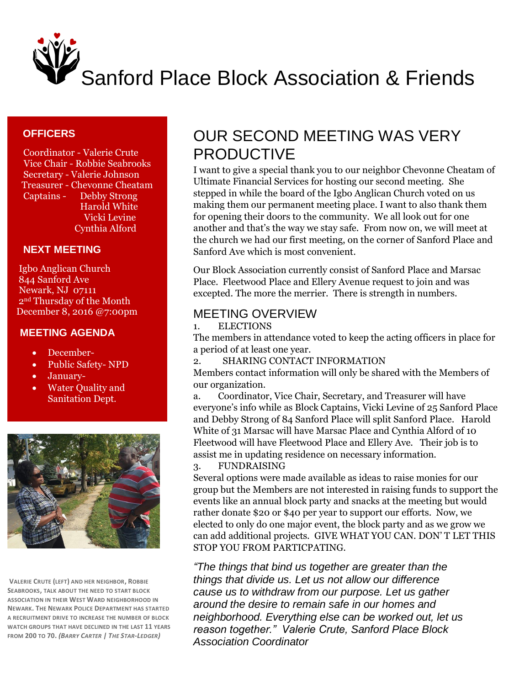

## **OFFICERS**

 Coordinator - Valerie Crute Vice Chair - Robbie Seabrooks Secretary - Valerie Johnson Treasurer - Chevonne Cheatam Captains - Debby Strong Harold White Vicki Levine Cynthia Alford

### **NEXT MEETING**

 Igbo Anglican Church 844 Sanford Ave Newark, NJ 07111 2nd Thursday of the Month December 8, 2016 @7:00pm

#### **MEETING AGENDA**

- December-
- Public Safety- NPD
- January-
- Water Quality and Sanitation Dept.



**VALERIE CRUTE (LEFT) AND HER NEIGHBOR, ROBBIE SEABROOKS, TALK ABOUT THE NEED TO START BLOCK ASSOCIATION IN THEIR WEST WARD NEIGHBORHOOD IN NEWARK. THE NEWARK POLICE DEPARTMENT HAS STARTED A RECRUITMENT DRIVE TO INCREASE THE NUMBER OF BLOCK WATCH GROUPS THAT HAVE DECLINED IN THE LAST 11 YEARS FROM 200 TO 70.** *(BARRY CARTER | THE STAR-LEDGER)*

# OUR SECOND MEETING WAS VERY PRODUCTIVE

I want to give a special thank you to our neighbor Chevonne Cheatam of Ultimate Financial Services for hosting our second meeting. She stepped in while the board of the Igbo Anglican Church voted on us making them our permanent meeting place. I want to also thank them for opening their doors to the community. We all look out for one another and that's the way we stay safe. From now on, we will meet at the church we had our first meeting, on the corner of Sanford Place and Sanford Ave which is most convenient.

Our Block Association currently consist of Sanford Place and Marsac Place. Fleetwood Place and Ellery Avenue request to join and was excepted. The more the merrier. There is strength in numbers.

# MEETING OVERVIEW

1. ELECTIONS

The members in attendance voted to keep the acting officers in place for a period of at least one year.

2. SHARING CONTACT INFORMATION

Members contact information will only be shared with the Members of our organization.

a. Coordinator, Vice Chair, Secretary, and Treasurer will have everyone's info while as Block Captains, Vicki Levine of 25 Sanford Place and Debby Strong of 84 Sanford Place will split Sanford Place. Harold White of 31 Marsac will have Marsac Place and Cynthia Alford of 10 Fleetwood will have Fleetwood Place and Ellery Ave. Their job is to assist me in updating residence on necessary information.

### 3. FUNDRAISING

Several options were made available as ideas to raise monies for our group but the Members are not interested in raising funds to support the events like an annual block party and snacks at the meeting but would rather donate \$20 or \$40 per year to support our efforts. Now, we elected to only do one major event, the block party and as we grow we can add additional projects. GIVE WHAT YOU CAN. DON' T LET THIS STOP YOU FROM PARTICPATING.

*"The things that bind us together are greater than the things that divide us. Let us not allow our difference cause us to withdraw from our purpose. Let us gather around the desire to remain safe in our homes and neighborhood. Everything else can be worked out, let us reason together." Valerie Crute, Sanford Place Block Association Coordinator*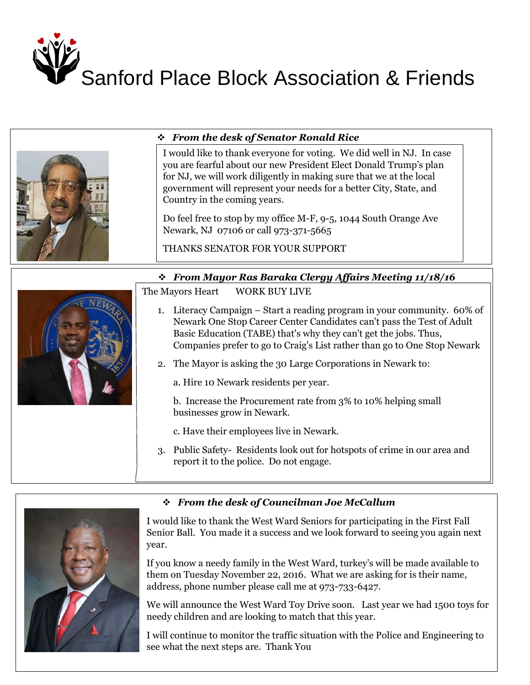



# *From the desk of Senator Ronald Rice*

I would like to thank everyone for voting. We did well in NJ. In case you are fearful about our new President Elect Donald Trump's plan for NJ, we will work diligently in making sure that we at the local government will represent your needs for a better City, State, and Country in the coming years.

Do feel free to stop by my office M-F, 9-5, 1044 South Orange Ave Newark, NJ 07106 or call 973-371-5665

THANKS SENATOR FOR YOUR SUPPORT

#### I would The The Senators Corner The Senators Corner *From Mayor Ras Baraka Clergy Affairs Meeting 11/18/16*

WORK BUY LIVE The Mayors Heart

- Newark One Stop Career Center Candidates can't pass the Test of Adult 1. Literacy Campaign – Start a reading program in your community. 60% of Basic Education (TABE) that's why they can't get the jobs. Thus, Companies prefer to go to Craig's List rather than go to One Stop Newark
- **Figure 2.** The Mayor is asking the 30 Large Corporations in Newark to:

a. Hire 10 Newark residents per year.

b. Increase the Procurement rate from 3% to 10% helping small businesses grow in Newark.

c. Have their employees live in Newark.

3. Public Safety- Residents look out for hotspots of crime in our area and report it to the police. Do not engage.



# *From the desk of Councilman Joe McCallum*

I would like to thank the West Ward Seniors for participating in the First Fall Senior Ball. You made it a success and we look forward to seeing you again next year.

If you know a needy family in the West Ward, turkey's will be made available to them on Tuesday November 22, 2016. What we are asking for is their name, address, phone number please call me at 973-733-6427.

We will announce the West Ward Toy Drive soon. Last year we had 1500 toys for needy children and are looking to match that this year.

I will continue to monitor the traffic situation with the Police and Engineering to see what the next steps are. Thank You